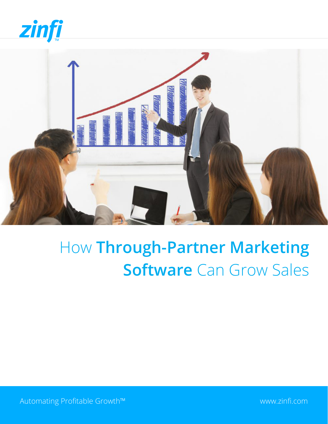



# How **Through-Partner Marketing Software** Can Grow Sales

Automating Profitable Growth™ [www.zinfi.com](http://www.zinfi.com)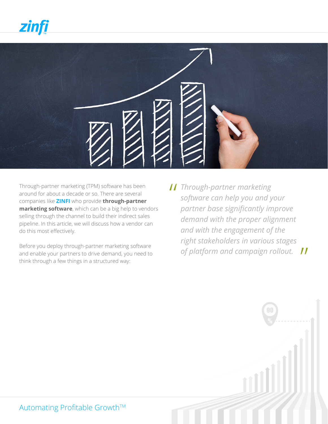

Through-partner marketing (TPM) software has been around for about a decade or so. There are several companies like **[ZINFI](http://www.zinfi.com/)** who provide **through-partner marketing software**, which can be a big help to vendors selling through the channel to build their indirect sales pipeline. In this article, we will discuss how a vendor can do this most effectively.

Before you deploy through-partner marketing software and enable your partners to drive demand, you need to think through a few things in a structured way:

*Through-partner marketing*<br>
software can help you and y *software can help you and your partner base significantly improve demand with the proper alignment and with the engagement of the right stakeholders in various stages of platform and campaign rollout.*  "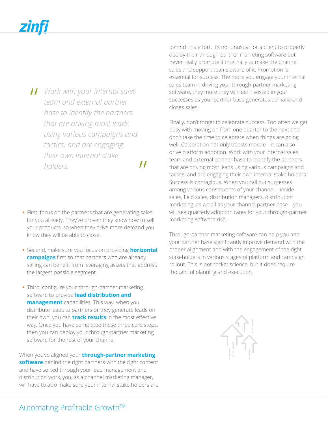- **11** Work with your internal sales<br>
team and external partner<br>
bese to identify the partners *team and external partner base to identify the partners that are driving most leads using various campaigns and tactics, and are engaging their own internal stake holders.* 
	- $\boldsymbol{\prime\prime}$
- **•** First, focus on the partners that are generating sales for you already. They've proven they know how to sell your products, so when they drive more demand you know they will be able to close.
- **•** Second, make sure you focus on providing **[horizontal](https://www.zinfi.com/products/partner-marketing-management/campaign-content-management/)  [campaigns](https://www.zinfi.com/products/partner-marketing-management/campaign-content-management/)** first so that partners who are already selling can benefit from leveraging assets that address the largest possible segment.
- **•** Third, configure your through-partner marketing software to provide **[lead distribution and](https://www.zinfi.com/products/partner-relationship-management/partner-lead-management/)  [management](https://www.zinfi.com/products/partner-relationship-management/partner-lead-management/)** capabilities. This way, when you distribute leads to partners or they generate leads on their own, you can **[track results](https://www.zinfi.com/products/partner-relationship-management/business-intelligence-reports/)** in the most effective way. Once you have completed these three core steps, then you can deploy your through-partner marketing software for the rest of your channel.

When you've aligned your **[through-partner marketing](https://www.zinfi.com/products/partner-marketing-management/overview/)  [software](https://www.zinfi.com/products/partner-marketing-management/overview/)** behind the right partners with the right content and have sorted through your lead management and distribution work, you, as a channel marketing manager, will have to also make sure your internal stake holders are behind this effort. It's not unusual for a client to properly deploy their through-partner marketing software but never really promote it internally to make the channel sales and support teams aware of it. Promotion is essential for success. The more you engage your internal sales team in driving your through-partner marketing software, they more they will feel invested in your successes as your partner base generates demand and closes sales.

Finally, don't forget to celebrate success. Too often we get busy with moving on from one quarter to the next and don't take the time to celebrate when things are going well. Celebration not only boosts morale—it can also drive platform adoption. Work with your internal sales team and external partner base to identify the partners that are driving most leads using various campaigns and tactics, and are engaging their own internal stake holders. Success is contagious. When you call out successes among various constituents of your channel—inside sales, field sales, distribution managers, distribution marketing, as we all as your channel partner base—you will see quarterly adoption rates for your through-partner marketing software rise.

Through-partner marketing software can help you and your partner base significantly improve demand with the proper alignment and with the engagement of the right stakeholders in various stages of platform and campaign rollout. This is not rocket science, but it does require thoughtful planning and execution.